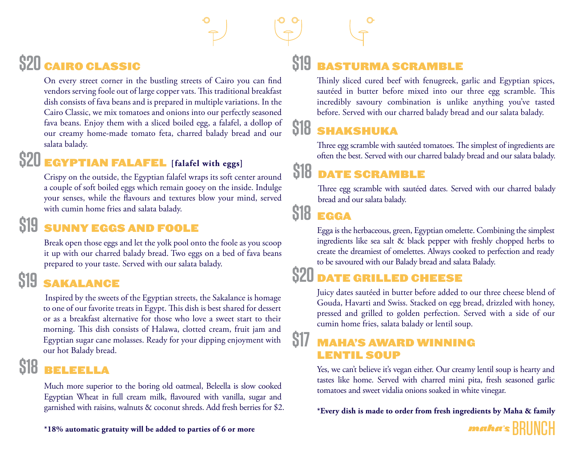# **\$20** CAIRO CLASSIC

On every street corner in the bustling streets of Cairo you can find vendors serving foole out of large copper vats. This traditional breakfast dish consists of fava beans and is prepared in multiple variations. In the Cairo Classic, we mix tomatoes and onions into our perfectly seasoned fava beans. Enjoy them with a sliced boiled egg, a falafel, a dollop of our creamy home-made tomato feta, charred balady bread and our salata balady.

# **\$20** EGYPTIAN FALAFEL **[falafel with eggs]**

Crispy on the outside, the Egyptian falafel wraps its soft center around a couple of soft boiled eggs which remain gooey on the inside. Indulge your senses, while the flavours and textures blow your mind, served with cumin home fries and salata balady.

#### **\$19** SUNNY EGGS AND FOOLE

Break open those eggs and let the yolk pool onto the foole as you scoop it up with our charred balady bread. Two eggs on a bed of fava beans prepared to your taste. Served with our salata balady.

#### **\$19** SAKALANCE

 Inspired by the sweets of the Egyptian streets, the Sakalance is homage to one of our favorite treats in Egypt. This dish is best shared for dessert or as a breakfast alternative for those who love a sweet start to their morning. This dish consists of Halawa, clotted cream, fruit jam and Egyptian sugar cane molasses. Ready for your dipping enjoyment with our hot Balady bread.

#### **\$18** BELEELLA

Much more superior to the boring old oatmeal, Beleella is slow cooked Egyptian Wheat in full cream milk, flavoured with vanilla, sugar and garnished with raisins, walnuts & coconut shreds. Add fresh berries for \$2.

# **\$19** BASTURMA SCRAMBLE

Thinly sliced cured beef with fenugreek, garlic and Egyptian spices, sautéed in butter before mixed into our three egg scramble. This incredibly savoury combination is unlike anything you've tasted before. Served with our charred balady bread and our salata balady.

# **\$18** SHAKSHUKA

Three egg scramble with sautéed tomatoes. The simplest of ingredients are often the best. Served with our charred balady bread and our salata balady.

# **\$18** DATE SCRAMBLE

Three egg scramble with sautéed dates. Served with our charred balady bread and our salata balady.

### **\$18** EGGA

Egga is the herbaceous, green, Egyptian omelette. Combining the simplest ingredients like sea salt & black pepper with freshly chopped herbs to create the dreamiest of omelettes. Always cooked to perfection and ready to be savoured with our Balady bread and salata Balady.

#### **ATE GRILLED CHEESE**

Juicy dates sautéed in butter before added to our three cheese blend of Gouda, Havarti and Swiss. Stacked on egg bread, drizzled with honey, pressed and grilled to golden perfection. Served with a side of our cumin home fries, salata balady or lentil soup.

#### **\$17** MAHA'S AWARD WINNING LENTIL SOUP

Yes, we can't believe it's vegan either. Our creamy lentil soup is hearty and tastes like home. Served with charred mini pita, fresh seasoned garlic tomatoes and sweet vidalia onions soaked in white vinegar.

**\*Every dish is made to order from fresh ingredients by Maha & family** 



**\*18% automatic gratuity will be added to parties of 6 or more**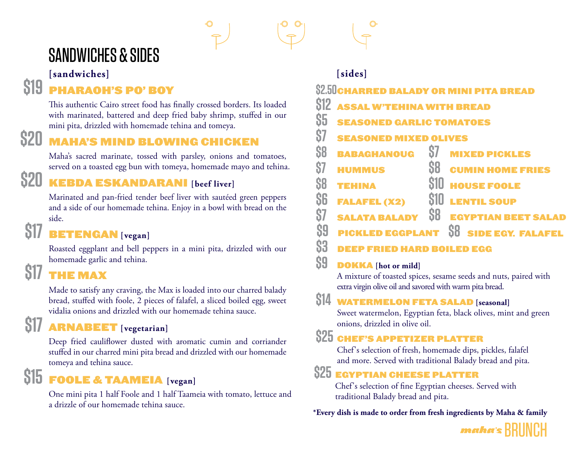# SANDWICHES & SIDES

**[sandwiches] [sides]**

### **\$19** PHARAOH'S PO' BOY

This authentic Cairo street food has finally crossed borders. Its loaded with marinated, battered and deep fried baby shrimp, stuffed in our mini pita, drizzled with homemade tehina and tomeya.

# **\$20** MAHA'S MIND BLOWING CHICKEN

Maha's sacred marinate, tossed with parsley, onions and tomatoes, served on a toasted egg bun with tomeya, homemade mayo and tehina.

# **\$20** KEBDA ESKANDARANI **[beef liver]**

Marinated and pan-fried tender beef liver with sautéed green peppers and a side of our homemade tehina. Enjoy in a bowl with bread on the side.

#### **BETENGAN** [vegan]

Roasted eggplant and bell peppers in a mini pita, drizzled with our homemade garlic and tehina.

# **\$17**

Made to satisfy any craving, the Max is loaded into our charred balady bread, stuffed with foole, 2 pieces of falafel, a sliced boiled egg, sweet vidalia onions and drizzled with our homemade tehina sauce.

# **\$17** ARNABEET **[vegetarian]**

Deep fried cauliflower dusted with aromatic cumin and corriander stuffed in our charred mini pita bread and drizzled with our homemade tomeya and tehina sauce.

# **\$15** FOOLE & TAAMEIA **[vegan]**

One mini pita 1 half Foole and 1 half Taameia with tomato, lettuce and a drizzle of our homemade tehina sauce.

| u vidlu                                                                           |                                                                       |
|-----------------------------------------------------------------------------------|-----------------------------------------------------------------------|
|                                                                                   | [sides]                                                               |
| <b>PO' BOY</b>                                                                    | <b>\$2.50 CHARRED BALADY OR MINI PITA BREAD</b>                       |
| street food has finally crossed borders. Its loaded                               | <b>SI2 ASSAL W'TEHINA WITH BREAD</b>                                  |
| ered and deep fried baby shrimp, stuffed in our<br>th homemade tehina and tomeya. | S5<br><b>SEASONED GARLIC TOMATOES</b>                                 |
| <b>ND BLOWING CHICKEN</b>                                                         | 87<br><b>SEASONED MIXED OLIVES</b>                                    |
| ate, tossed with parsley, onions and tomatoes,                                    | \$7<br>88<br><b>BABAGHANOUG</b><br><b>MIXED PICKLES</b>               |
| g bun with tomeya, homemade mayo and tehina.                                      | \$7<br><b>CUMIN HOME FRIES</b><br><b>HUMMUS</b>                       |
| <b>ANDARAN</b> [beef liver]                                                       | <b>S10 HOUSE FOOLE</b><br>S8<br><b>TEHINA</b>                         |
| ried tender beef liver with sautéed green peppers                                 | S6<br><b>S10 LENTIL SOUP</b><br><b>FALAFEL (X2)</b>                   |
| nemade tehina. Enjoy in a bowl with bread on the                                  | 87<br><b>SB</b><br><b>EGYPTIAN BEET SALAD</b><br><b>SALATA BALADY</b> |
| [vegan]                                                                           | S9<br>S8<br><b>SIDE EGY. FALAFEL</b><br><b>CKLED EGGPLANT</b>         |
|                                                                                   | Λn                                                                    |

#### **\$3** DEEP FRIED HARD BOILED EGG

#### **\$9** DOKKA **[hot or mild]**

A mixture of toasted spices, sesame seeds and nuts, paired with extra virgin olive oil and savored with warm pita bread.

#### **\$14** WATERMELON FETA SALAD **[seasonal]**

Sweet watermelon, Egyptian feta, black olives, mint and green onions, drizzled in olive oil.

#### **\$25** CHEF'S APPETIZER PLATTER

Chef's selection of fresh, homemade dips, pickles, falafel and more. Served with traditional Balady bread and pita.

#### **\$25** EGYPTIAN CHEESE PLATTER

Chef's selection of fine Egyptian cheeses. Served with traditional Balady bread and pita.

**\*Every dish is made to order from fresh ingredients by Maha & family**